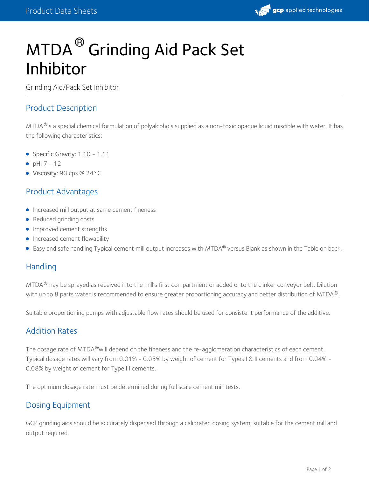# MTDA  $^\circledR$  Grinding Aid Pack Set Inhibitor

Grinding Aid/Pack Set Inhibitor

#### Product Description

MTDA <sup>®</sup>is a special chemical formulation of polyalcohols supplied as a non-toxic opaque liquid miscible with water. It has the following characteristics:

- Specific Gravity: 1.10 1.11
- $\rho H: 7 12$
- Viscosity: 90 cps @ 24°C

### Product Advantages

- **Increased mill output at same cement fineness**
- Reduced grinding costs
- **Improved cement strengths**
- Increased cement flowability
- Easy and safe handling Typical cement mill output increases with MTDA $^{\circledR}$  versus Blank as shown in the Table on back.

#### **Handling**

MTDA ®may be sprayed as received into the mill's first compartment or added onto the clinker conveyor belt. Dilution with up to 8 parts water is recommended to ensure greater proportioning accuracy and better distribution of MTDA $^\circledR$ .

Suitable proportioning pumps with adjustable flow rates should be used for consistent performance of the additive.

#### Addition Rates

The dosage rate of MTDA $^\circledR$ will depend on the fineness and the re-agglomeration characteristics of each cement. Typical dosage rates will vary from 0.01% - 0.05% by weight of cement for Types I & II cements and from 0.04% - 0.08% by weight of cement for Type III cements.

The optimum dosage rate must be determined during full scale cement mill tests.

#### Dosing Equipment

GCP grinding aids should be accurately dispensed through a calibrated dosing system, suitable for the cement mill and output required.